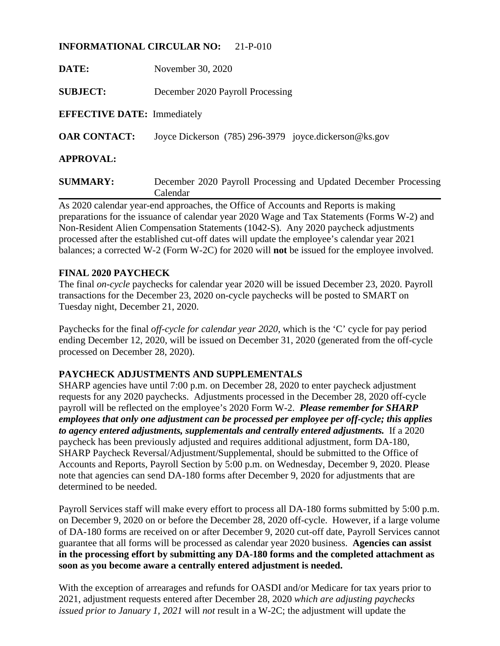### **INFORMATIONAL CIRCULAR NO:** 21-P-010

| DATE:                              | November 30, 2020                                                            |
|------------------------------------|------------------------------------------------------------------------------|
| <b>SUBJECT:</b>                    | December 2020 Payroll Processing                                             |
| <b>EFFECTIVE DATE:</b> Immediately |                                                                              |
| <b>OAR CONTACT:</b>                | Joyce Dickerson (785) 296-3979 joyce.dickerson@ks.gov                        |
| <b>APPROVAL:</b>                   |                                                                              |
| <b>SUMMARY:</b>                    | December 2020 Payroll Processing and Updated December Processing<br>Calendar |

As 2020 calendar year-end approaches, the Office of Accounts and Reports is making preparations for the issuance of calendar year 2020 Wage and Tax Statements (Forms W-2) and Non-Resident Alien Compensation Statements (1042-S). Any 2020 paycheck adjustments processed after the established cut-off dates will update the employee's calendar year 2021 balances; a corrected W-2 (Form W-2C) for 2020 will **not** be issued for the employee involved.

#### **FINAL 2020 PAYCHECK**

The final *on-cycle* paychecks for calendar year 2020 will be issued December 23, 2020. Payroll transactions for the December 23, 2020 on-cycle paychecks will be posted to SMART on Tuesday night, December 21, 2020.

Paychecks for the final *off-cycle for calendar year 2020*, which is the 'C' cycle for pay period ending December 12, 2020, will be issued on December 31, 2020 (generated from the off-cycle processed on December 28, 2020).

### **PAYCHECK ADJUSTMENTS AND SUPPLEMENTALS**

SHARP agencies have until 7:00 p.m. on December 28, 2020 to enter paycheck adjustment requests for any 2020 paychecks. Adjustments processed in the December 28, 2020 off-cycle payroll will be reflected on the employee's 2020 Form W-2. *Please remember for SHARP employees that only one adjustment can be processed per employee per off-cycle; this applies to agency entered adjustments, supplementals and centrally entered adjustments.* If a 2020 paycheck has been previously adjusted and requires additional adjustment, form DA-180, SHARP Paycheck Reversal/Adjustment/Supplemental, should be submitted to the Office of Accounts and Reports, Payroll Section by 5:00 p.m. on Wednesday, December 9, 2020. Please note that agencies can send DA-180 forms after December 9, 2020 for adjustments that are determined to be needed.

Payroll Services staff will make every effort to process all DA-180 forms submitted by 5:00 p.m. on December 9, 2020 on or before the December 28, 2020 off-cycle. However, if a large volume of DA-180 forms are received on or after December 9, 2020 cut-off date, Payroll Services cannot guarantee that all forms will be processed as calendar year 2020 business. **Agencies can assist in the processing effort by submitting any DA-180 forms and the completed attachment as soon as you become aware a centrally entered adjustment is needed.**

With the exception of arrearages and refunds for OASDI and/or Medicare for tax years prior to 2021, adjustment requests entered after December 28, 2020 *which are adjusting paychecks issued prior to January 1, 2021* will *not* result in a W-2C; the adjustment will update the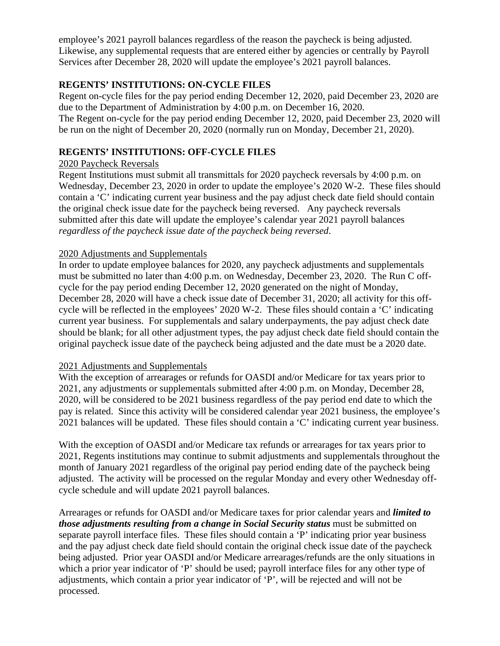employee's 2021 payroll balances regardless of the reason the paycheck is being adjusted. Likewise, any supplemental requests that are entered either by agencies or centrally by Payroll Services after December 28, 2020 will update the employee's 2021 payroll balances.

## **REGENTS' INSTITUTIONS: ON-CYCLE FILES**

Regent on-cycle files for the pay period ending December 12, 2020, paid December 23, 2020 are due to the Department of Administration by 4:00 p.m. on December 16, 2020. The Regent on-cycle for the pay period ending December 12, 2020, paid December 23, 2020 will be run on the night of December 20, 2020 (normally run on Monday, December 21, 2020).

# **REGENTS' INSTITUTIONS: OFF-CYCLE FILES**

## 2020 Paycheck Reversals

Regent Institutions must submit all transmittals for 2020 paycheck reversals by 4:00 p.m. on Wednesday, December 23, 2020 in order to update the employee's 2020 W-2. These files should contain a 'C' indicating current year business and the pay adjust check date field should contain the original check issue date for the paycheck being reversed. Any paycheck reversals submitted after this date will update the employee's calendar year 2021 payroll balances *regardless of the paycheck issue date of the paycheck being reversed*.

## 2020 Adjustments and Supplementals

In order to update employee balances for 2020, any paycheck adjustments and supplementals must be submitted no later than 4:00 p.m. on Wednesday, December 23, 2020. The Run C offcycle for the pay period ending December 12, 2020 generated on the night of Monday, December 28, 2020 will have a check issue date of December 31, 2020; all activity for this offcycle will be reflected in the employees' 2020 W-2. These files should contain a 'C' indicating current year business. For supplementals and salary underpayments, the pay adjust check date should be blank; for all other adjustment types, the pay adjust check date field should contain the original paycheck issue date of the paycheck being adjusted and the date must be a 2020 date.

## 2021 Adjustments and Supplementals

With the exception of arrearages or refunds for OASDI and/or Medicare for tax years prior to 2021, any adjustments or supplementals submitted after 4:00 p.m. on Monday, December 28, 2020, will be considered to be 2021 business regardless of the pay period end date to which the pay is related. Since this activity will be considered calendar year 2021 business, the employee's 2021 balances will be updated. These files should contain a 'C' indicating current year business.

With the exception of OASDI and/or Medicare tax refunds or arrearages for tax years prior to 2021, Regents institutions may continue to submit adjustments and supplementals throughout the month of January 2021 regardless of the original pay period ending date of the paycheck being adjusted. The activity will be processed on the regular Monday and every other Wednesday offcycle schedule and will update 2021 payroll balances.

Arrearages or refunds for OASDI and/or Medicare taxes for prior calendar years and *limited to those adjustments resulting from a change in Social Security status must be submitted on* separate payroll interface files. These files should contain a 'P' indicating prior year business and the pay adjust check date field should contain the original check issue date of the paycheck being adjusted. Prior year OASDI and/or Medicare arrearages/refunds are the only situations in which a prior year indicator of 'P' should be used; payroll interface files for any other type of adjustments, which contain a prior year indicator of 'P', will be rejected and will not be processed.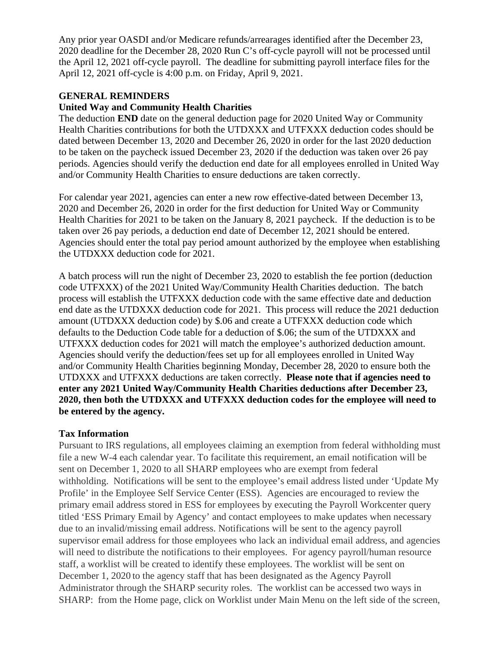Any prior year OASDI and/or Medicare refunds/arrearages identified after the December 23, 2020 deadline for the December 28, 2020 Run C's off-cycle payroll will not be processed until the April 12, 2021 off-cycle payroll. The deadline for submitting payroll interface files for the April 12, 2021 off-cycle is 4:00 p.m. on Friday, April 9, 2021.

#### **GENERAL REMINDERS**

#### **United Way and Community Health Charities**

The deduction **END** date on the general deduction page for 2020 United Way or Community Health Charities contributions for both the UTDXXX and UTFXXX deduction codes should be dated between December 13, 2020 and December 26, 2020 in order for the last 2020 deduction to be taken on the paycheck issued December 23, 2020 if the deduction was taken over 26 pay periods. Agencies should verify the deduction end date for all employees enrolled in United Way and/or Community Health Charities to ensure deductions are taken correctly.

For calendar year 2021, agencies can enter a new row effective-dated between December 13, 2020 and December 26, 2020 in order for the first deduction for United Way or Community Health Charities for 2021 to be taken on the January 8, 2021 paycheck. If the deduction is to be taken over 26 pay periods, a deduction end date of December 12, 2021 should be entered. Agencies should enter the total pay period amount authorized by the employee when establishing the UTDXXX deduction code for 2021.

A batch process will run the night of December 23, 2020 to establish the fee portion (deduction code UTFXXX) of the 2021 United Way/Community Health Charities deduction. The batch process will establish the UTFXXX deduction code with the same effective date and deduction end date as the UTDXXX deduction code for 2021. This process will reduce the 2021 deduction amount (UTDXXX deduction code) by \$.06 and create a UTFXXX deduction code which defaults to the Deduction Code table for a deduction of \$.06; the sum of the UTDXXX and UTFXXX deduction codes for 2021 will match the employee's authorized deduction amount. Agencies should verify the deduction/fees set up for all employees enrolled in United Way and/or Community Health Charities beginning Monday, December 28, 2020 to ensure both the UTDXXX and UTFXXX deductions are taken correctly. **Please note that if agencies need to enter any 2021 United Way/Community Health Charities deductions after December 23, 2020, then both the UTDXXX and UTFXXX deduction codes for the employee will need to be entered by the agency.**

#### **Tax Information**

Pursuant to IRS regulations, all employees claiming an exemption from federal withholding must file a new W-4 each calendar year. To facilitate this requirement, an email notification will be sent on December 1, 2020 to all SHARP employees who are exempt from federal withholding. Notifications will be sent to the employee's email address listed under 'Update My Profile' in the Employee Self Service Center (ESS). Agencies are encouraged to review the primary email address stored in ESS for employees by executing the Payroll Workcenter query titled 'ESS Primary Email by Agency' and contact employees to make updates when necessary due to an invalid/missing email address. Notifications will be sent to the agency payroll supervisor email address for those employees who lack an individual email address, and agencies will need to distribute the notifications to their employees. For agency payroll/human resource staff, a worklist will be created to identify these employees. The worklist will be sent on December 1, 2020 to the agency staff that has been designated as the Agency Payroll Administrator through the SHARP security roles. The worklist can be accessed two ways in SHARP: from the Home page, click on Worklist under Main Menu on the left side of the screen,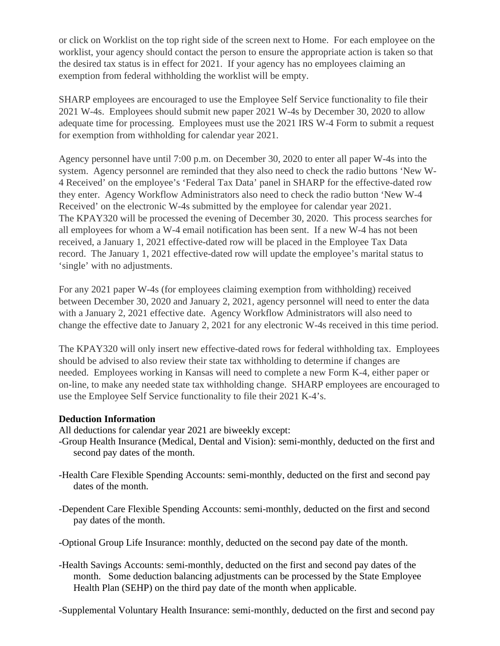or click on Worklist on the top right side of the screen next to Home. For each employee on the worklist, your agency should contact the person to ensure the appropriate action is taken so that the desired tax status is in effect for 2021. If your agency has no employees claiming an exemption from federal withholding the worklist will be empty.

SHARP employees are encouraged to use the Employee Self Service functionality to file their 2021 W-4s. Employees should submit new paper 2021 W-4s by December 30, 2020 to allow adequate time for processing. Employees must use the 2021 IRS W-4 Form to submit a request for exemption from withholding for calendar year 2021.

Agency personnel have until 7:00 p.m. on December 30, 2020 to enter all paper W-4s into the system. Agency personnel are reminded that they also need to check the radio buttons 'New W-4 Received' on the employee's 'Federal Tax Data' panel in SHARP for the effective-dated row they enter. Agency Workflow Administrators also need to check the radio button 'New W-4 Received' on the electronic W-4s submitted by the employee for calendar year 2021. The KPAY320 will be processed the evening of December 30, 2020. This process searches for all employees for whom a W-4 email notification has been sent. If a new W-4 has not been received, a January 1, 2021 effective-dated row will be placed in the Employee Tax Data record. The January 1, 2021 effective-dated row will update the employee's marital status to 'single' with no adjustments.

For any 2021 paper W-4s (for employees claiming exemption from withholding) received between December 30, 2020 and January 2, 2021, agency personnel will need to enter the data with a January 2, 2021 effective date. Agency Workflow Administrators will also need to change the effective date to January 2, 2021 for any electronic W-4s received in this time period.

The KPAY320 will only insert new effective-dated rows for federal withholding tax. Employees should be advised to also review their state tax withholding to determine if changes are needed. Employees working in Kansas will need to complete a new Form K-4, either paper or on-line, to make any needed state tax withholding change. SHARP employees are encouraged to use the Employee Self Service functionality to file their 2021 K-4's.

#### **Deduction Information**

All deductions for calendar year 2021 are biweekly except:

- -Group Health Insurance (Medical, Dental and Vision): semi-monthly, deducted on the first and second pay dates of the month.
- -Health Care Flexible Spending Accounts: semi-monthly, deducted on the first and second pay dates of the month.
- -Dependent Care Flexible Spending Accounts: semi-monthly, deducted on the first and second pay dates of the month.
- -Optional Group Life Insurance: monthly, deducted on the second pay date of the month.
- -Health Savings Accounts: semi-monthly, deducted on the first and second pay dates of the month. Some deduction balancing adjustments can be processed by the State Employee Health Plan (SEHP) on the third pay date of the month when applicable.

-Supplemental Voluntary Health Insurance: semi-monthly, deducted on the first and second pay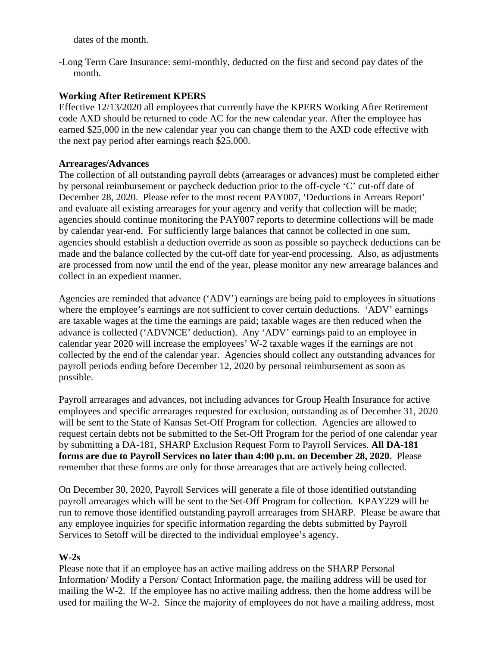dates of the month.

-Long Term Care Insurance: semi-monthly, deducted on the first and second pay dates of the month.

## **Working After Retirement KPERS**

Effective 12/13/2020 all employees that currently have the KPERS Working After Retirement code AXD should be returned to code AC for the new calendar year. After the employee has earned \$25,000 in the new calendar year you can change them to the AXD code effective with the next pay period after earnings reach \$25,000.

## **Arrearages/Advances**

The collection of all outstanding payroll debts (arrearages or advances) must be completed either by personal reimbursement or paycheck deduction prior to the off-cycle 'C' cut-off date of December 28, 2020. Please refer to the most recent PAY007, 'Deductions in Arrears Report' and evaluate all existing arrearages for your agency and verify that collection will be made; agencies should continue monitoring the PAY007 reports to determine collections will be made by calendar year-end. For sufficiently large balances that cannot be collected in one sum, agencies should establish a deduction override as soon as possible so paycheck deductions can be made and the balance collected by the cut-off date for year-end processing. Also, as adjustments are processed from now until the end of the year, please monitor any new arrearage balances and collect in an expedient manner.

Agencies are reminded that advance ('ADV') earnings are being paid to employees in situations where the employee's earnings are not sufficient to cover certain deductions. 'ADV' earnings are taxable wages at the time the earnings are paid; taxable wages are then reduced when the advance is collected ('ADVNCE' deduction). Any 'ADV' earnings paid to an employee in calendar year 2020 will increase the employees' W-2 taxable wages if the earnings are not collected by the end of the calendar year. Agencies should collect any outstanding advances for payroll periods ending before December 12, 2020 by personal reimbursement as soon as possible.

Payroll arrearages and advances, not including advances for Group Health Insurance for active employees and specific arrearages requested for exclusion, outstanding as of December 31, 2020 will be sent to the State of Kansas Set-Off Program for collection. Agencies are allowed to request certain debts not be submitted to the Set-Off Program for the period of one calendar year by submitting a DA-181, SHARP Exclusion Request Form to Payroll Services. **All DA-181 forms are due to Payroll Services no later than 4:00 p.m. on December 28, 2020.** Please remember that these forms are only for those arrearages that are actively being collected.

On December 30, 2020, Payroll Services will generate a file of those identified outstanding payroll arrearages which will be sent to the Set-Off Program for collection. KPAY229 will be run to remove those identified outstanding payroll arrearages from SHARP. Please be aware that any employee inquiries for specific information regarding the debts submitted by Payroll Services to Setoff will be directed to the individual employee's agency.

# **W-2s**

Please note that if an employee has an active mailing address on the SHARP Personal Information/ Modify a Person/ Contact Information page, the mailing address will be used for mailing the W-2. If the employee has no active mailing address, then the home address will be used for mailing the W-2. Since the majority of employees do not have a mailing address, most